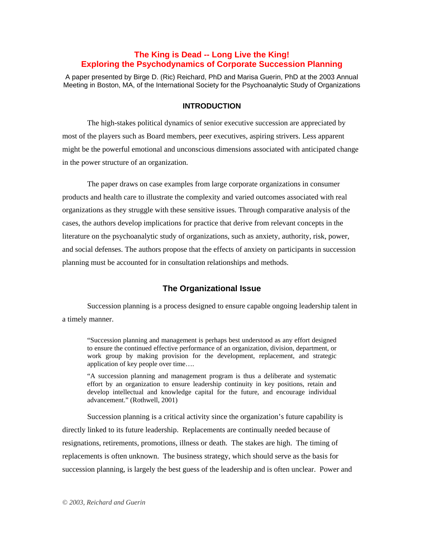# **The King is Dead -- Long Live the King! Exploring the Psychodynamics of Corporate Succession Planning**

A paper presented by Birge D. (Ric) Reichard, PhD and Marisa Guerin, PhD at the 2003 Annual Meeting in Boston, MA, of the International Society for the Psychoanalytic Study of Organizations

#### **INTRODUCTION**

The high-stakes political dynamics of senior executive succession are appreciated by most of the players such as Board members, peer executives, aspiring strivers. Less apparent might be the powerful emotional and unconscious dimensions associated with anticipated change in the power structure of an organization.

The paper draws on case examples from large corporate organizations in consumer products and health care to illustrate the complexity and varied outcomes associated with real organizations as they struggle with these sensitive issues. Through comparative analysis of the cases, the authors develop implications for practice that derive from relevant concepts in the literature on the psychoanalytic study of organizations, such as anxiety, authority, risk, power, and social defenses. The authors propose that the effects of anxiety on participants in succession planning must be accounted for in consultation relationships and methods.

# **The Organizational Issue**

Succession planning is a process designed to ensure capable ongoing leadership talent in a timely manner.

"Succession planning and management is perhaps best understood as any effort designed to ensure the continued effective performance of an organization, division, department, or work group by making provision for the development, replacement, and strategic application of key people over time….

"A succession planning and management program is thus a deliberate and systematic effort by an organization to ensure leadership continuity in key positions, retain and develop intellectual and knowledge capital for the future, and encourage individual advancement." (Rothwell, 2001)

Succession planning is a critical activity since the organization's future capability is directly linked to its future leadership. Replacements are continually needed because of resignations, retirements, promotions, illness or death. The stakes are high. The timing of replacements is often unknown. The business strategy, which should serve as the basis for succession planning, is largely the best guess of the leadership and is often unclear. Power and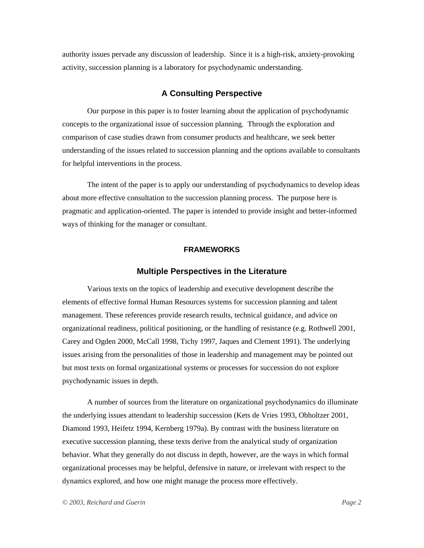authority issues pervade any discussion of leadership. Since it is a high-risk, anxiety-provoking activity, succession planning is a laboratory for psychodynamic understanding.

# **A Consulting Perspective**

Our purpose in this paper is to foster learning about the application of psychodynamic concepts to the organizational issue of succession planning. Through the exploration and comparison of case studies drawn from consumer products and healthcare, we seek better understanding of the issues related to succession planning and the options available to consultants for helpful interventions in the process.

The intent of the paper is to apply our understanding of psychodynamics to develop ideas about more effective consultation to the succession planning process. The purpose here is pragmatic and application-oriented. The paper is intended to provide insight and better-informed ways of thinking for the manager or consultant.

### **FRAMEWORKS**

# **Multiple Perspectives in the Literature**

Various texts on the topics of leadership and executive development describe the elements of effective formal Human Resources systems for succession planning and talent management. These references provide research results, technical guidance, and advice on organizational readiness, political positioning, or the handling of resistance (e.g. Rothwell 2001, Carey and Ogden 2000, McCall 1998, Tichy 1997, Jaques and Clement 1991). The underlying issues arising from the personalities of those in leadership and management may be pointed out but most texts on formal organizational systems or processes for succession do not explore psychodynamic issues in depth.

A number of sources from the literature on organizational psychodynamics do illuminate the underlying issues attendant to leadership succession (Kets de Vries 1993, Obholtzer 2001, Diamond 1993, Heifetz 1994, Kernberg 1979a). By contrast with the business literature on executive succession planning, these texts derive from the analytical study of organization behavior. What they generally do not discuss in depth, however, are the ways in which formal organizational processes may be helpful, defensive in nature, or irrelevant with respect to the dynamics explored, and how one might manage the process more effectively.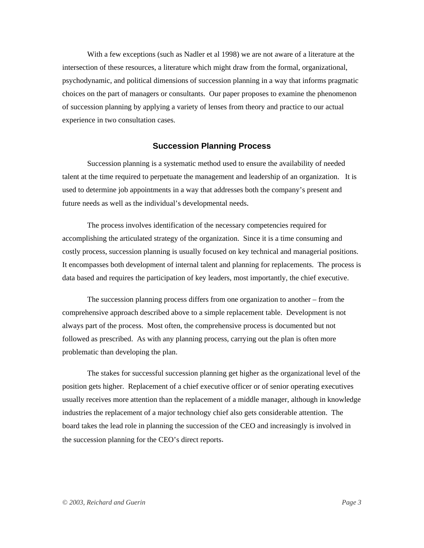With a few exceptions (such as Nadler et al 1998) we are not aware of a literature at the intersection of these resources, a literature which might draw from the formal, organizational, psychodynamic, and political dimensions of succession planning in a way that informs pragmatic choices on the part of managers or consultants. Our paper proposes to examine the phenomenon of succession planning by applying a variety of lenses from theory and practice to our actual experience in two consultation cases.

# **Succession Planning Process**

Succession planning is a systematic method used to ensure the availability of needed talent at the time required to perpetuate the management and leadership of an organization. It is used to determine job appointments in a way that addresses both the company's present and future needs as well as the individual's developmental needs.

The process involves identification of the necessary competencies required for accomplishing the articulated strategy of the organization. Since it is a time consuming and costly process, succession planning is usually focused on key technical and managerial positions. It encompasses both development of internal talent and planning for replacements. The process is data based and requires the participation of key leaders, most importantly, the chief executive.

The succession planning process differs from one organization to another – from the comprehensive approach described above to a simple replacement table. Development is not always part of the process. Most often, the comprehensive process is documented but not followed as prescribed. As with any planning process, carrying out the plan is often more problematic than developing the plan.

The stakes for successful succession planning get higher as the organizational level of the position gets higher. Replacement of a chief executive officer or of senior operating executives usually receives more attention than the replacement of a middle manager, although in knowledge industries the replacement of a major technology chief also gets considerable attention. The board takes the lead role in planning the succession of the CEO and increasingly is involved in the succession planning for the CEO's direct reports.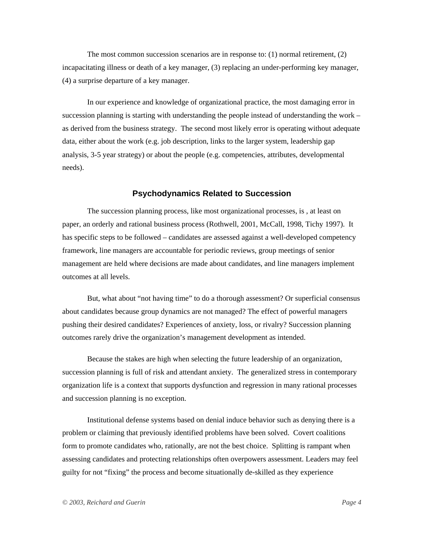The most common succession scenarios are in response to: (1) normal retirement, (2) incapacitating illness or death of a key manager, (3) replacing an under-performing key manager, (4) a surprise departure of a key manager.

In our experience and knowledge of organizational practice, the most damaging error in succession planning is starting with understanding the people instead of understanding the work – as derived from the business strategy. The second most likely error is operating without adequate data, either about the work (e.g. job description, links to the larger system, leadership gap analysis, 3-5 year strategy) or about the people (e.g. competencies, attributes, developmental needs).

#### **Psychodynamics Related to Succession**

The succession planning process, like most organizational processes, is , at least on paper, an orderly and rational business process (Rothwell, 2001, McCall, 1998, Tichy 1997). It has specific steps to be followed – candidates are assessed against a well-developed competency framework, line managers are accountable for periodic reviews, group meetings of senior management are held where decisions are made about candidates, and line managers implement outcomes at all levels.

But, what about "not having time" to do a thorough assessment? Or superficial consensus about candidates because group dynamics are not managed? The effect of powerful managers pushing their desired candidates? Experiences of anxiety, loss, or rivalry? Succession planning outcomes rarely drive the organization's management development as intended.

Because the stakes are high when selecting the future leadership of an organization, succession planning is full of risk and attendant anxiety. The generalized stress in contemporary organization life is a context that supports dysfunction and regression in many rational processes and succession planning is no exception.

Institutional defense systems based on denial induce behavior such as denying there is a problem or claiming that previously identified problems have been solved. Covert coalitions form to promote candidates who, rationally, are not the best choice. Splitting is rampant when assessing candidates and protecting relationships often overpowers assessment. Leaders may feel guilty for not "fixing" the process and become situationally de-skilled as they experience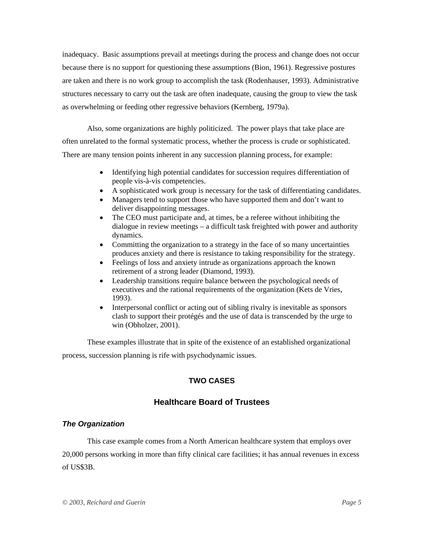inadequacy. Basic assumptions prevail at meetings during the process and change does not occur because there is no support for questioning these assumptions (Bion, 1961). Regressive postures are taken and there is no work group to accomplish the task (Rodenhauser, 1993). Administrative structures necessary to carry out the task are often inadequate, causing the group to view the task as overwhelming or feeding other regressive behaviors (Kernberg, 1979a).

Also, some organizations are highly politicized. The power plays that take place are often unrelated to the formal systematic process, whether the process is crude or sophisticated. There are many tension points inherent in any succession planning process, for example:

- Identifying high potential candidates for succession requires differentiation of people vis-à-vis competencies.
- A sophisticated work group is necessary for the task of differentiating candidates.
- Managers tend to support those who have supported them and don't want to deliver disappointing messages.
- The CEO must participate and, at times, be a referee without inhibiting the dialogue in review meetings – a difficult task freighted with power and authority dynamics.
- Committing the organization to a strategy in the face of so many uncertainties produces anxiety and there is resistance to taking responsibility for the strategy.
- Feelings of loss and anxiety intrude as organizations approach the known retirement of a strong leader (Diamond, 1993).
- Leadership transitions require balance between the psychological needs of executives and the rational requirements of the organization (Kets de Vries, 1993).
- Interpersonal conflict or acting out of sibling rivalry is inevitable as sponsors clash to support their protégés and the use of data is transcended by the urge to win (Obholzer, 2001).

These examples illustrate that in spite of the existence of an established organizational process, succession planning is rife with psychodynamic issues.

# **TWO CASES**

# **Healthcare Board of Trustees**

# *The Organization*

This case example comes from a North American healthcare system that employs over 20,000 persons working in more than fifty clinical care facilities; it has annual revenues in excess of US\$3B.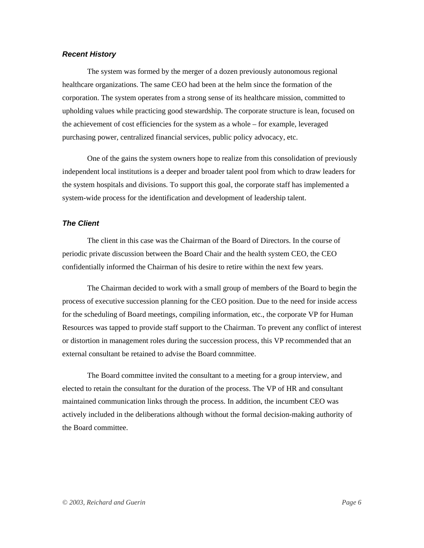#### *Recent History*

The system was formed by the merger of a dozen previously autonomous regional healthcare organizations. The same CEO had been at the helm since the formation of the corporation. The system operates from a strong sense of its healthcare mission, committed to upholding values while practicing good stewardship. The corporate structure is lean, focused on the achievement of cost efficiencies for the system as a whole – for example, leveraged purchasing power, centralized financial services, public policy advocacy, etc.

One of the gains the system owners hope to realize from this consolidation of previously independent local institutions is a deeper and broader talent pool from which to draw leaders for the system hospitals and divisions. To support this goal, the corporate staff has implemented a system-wide process for the identification and development of leadership talent.

### *The Client*

The client in this case was the Chairman of the Board of Directors. In the course of periodic private discussion between the Board Chair and the health system CEO, the CEO confidentially informed the Chairman of his desire to retire within the next few years.

The Chairman decided to work with a small group of members of the Board to begin the process of executive succession planning for the CEO position. Due to the need for inside access for the scheduling of Board meetings, compiling information, etc., the corporate VP for Human Resources was tapped to provide staff support to the Chairman. To prevent any conflict of interest or distortion in management roles during the succession process, this VP recommended that an external consultant be retained to advise the Board comnmittee.

The Board committee invited the consultant to a meeting for a group interview, and elected to retain the consultant for the duration of the process. The VP of HR and consultant maintained communication links through the process. In addition, the incumbent CEO was actively included in the deliberations although without the formal decision-making authority of the Board committee.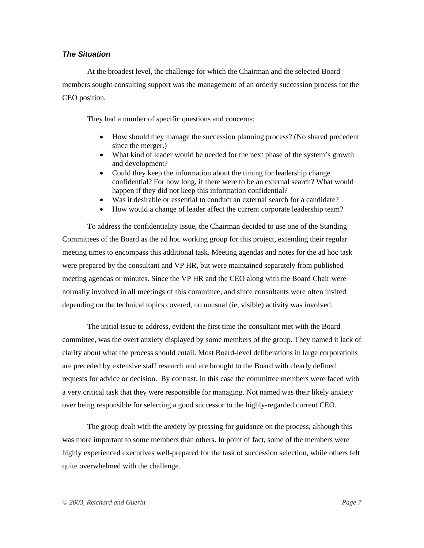# *The Situation*

At the broadest level, the challenge for which the Chairman and the selected Board members sought consulting support was the management of an orderly succession process for the CEO position.

They had a number of specific questions and concerns:

- How should they manage the succession planning process? (No shared precedent since the merger.)
- What kind of leader would be needed for the next phase of the system's growth and development?
- Could they keep the information about the timing for leadership change confidential? For how long, if there were to be an external search? What would happen if they did not keep this information confidential?
- Was it desirable or essential to conduct an external search for a candidate?
- How would a change of leader affect the current corporate leadership team?

To address the confidentiality issue, the Chairman decided to use one of the Standing Committees of the Board as the ad hoc working group for this project, extending their regular meeting times to encompass this additional task. Meeting agendas and notes for the ad hoc task were prepared by the consultant and VP HR, but were maintained separately from published meeting agendas or minutes. Since the VP HR and the CEO along with the Board Chair were normally involved in all meetings of this committee, and since consultants were often invited depending on the technical topics covered, no unusual (ie, visible) activity was involved.

The initial issue to address, evident the first time the consultant met with the Board committee, was the overt anxiety displayed by some members of the group. They named it lack of clarity about what the process should entail. Most Board-level deliberations in large corporations are preceded by extensive staff research and are brought to the Board with clearly defined requests for advice or decision. By contrast, in this case the committee members were faced with a very critical task that they were responsible for managing. Not named was their likely anxiety over being responsible for selecting a good successor to the highly-regarded current CEO.

The group dealt with the anxiety by pressing for guidance on the process, although this was more important to some members than others. In point of fact, some of the members were highly experienced executives well-prepared for the task of succession selection, while others felt quite overwhelmed with the challenge.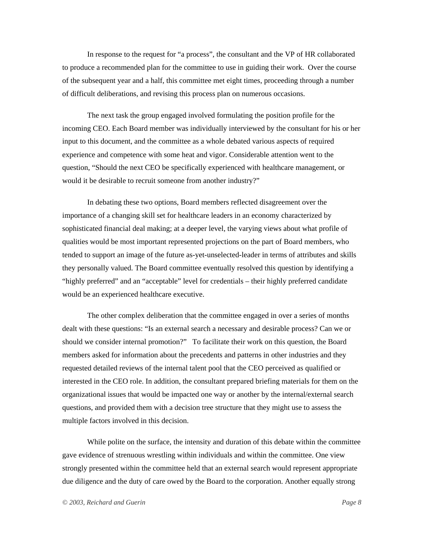In response to the request for "a process", the consultant and the VP of HR collaborated to produce a recommended plan for the committee to use in guiding their work. Over the course of the subsequent year and a half, this committee met eight times, proceeding through a number of difficult deliberations, and revising this process plan on numerous occasions.

The next task the group engaged involved formulating the position profile for the incoming CEO. Each Board member was individually interviewed by the consultant for his or her input to this document, and the committee as a whole debated various aspects of required experience and competence with some heat and vigor. Considerable attention went to the question, "Should the next CEO be specifically experienced with healthcare management, or would it be desirable to recruit someone from another industry?"

In debating these two options, Board members reflected disagreement over the importance of a changing skill set for healthcare leaders in an economy characterized by sophisticated financial deal making; at a deeper level, the varying views about what profile of qualities would be most important represented projections on the part of Board members, who tended to support an image of the future as-yet-unselected-leader in terms of attributes and skills they personally valued. The Board committee eventually resolved this question by identifying a "highly preferred" and an "acceptable" level for credentials – their highly preferred candidate would be an experienced healthcare executive.

The other complex deliberation that the committee engaged in over a series of months dealt with these questions: "Is an external search a necessary and desirable process? Can we or should we consider internal promotion?" To facilitate their work on this question, the Board members asked for information about the precedents and patterns in other industries and they requested detailed reviews of the internal talent pool that the CEO perceived as qualified or interested in the CEO role. In addition, the consultant prepared briefing materials for them on the organizational issues that would be impacted one way or another by the internal/external search questions, and provided them with a decision tree structure that they might use to assess the multiple factors involved in this decision.

While polite on the surface, the intensity and duration of this debate within the committee gave evidence of strenuous wrestling within individuals and within the committee. One view strongly presented within the committee held that an external search would represent appropriate due diligence and the duty of care owed by the Board to the corporation. Another equally strong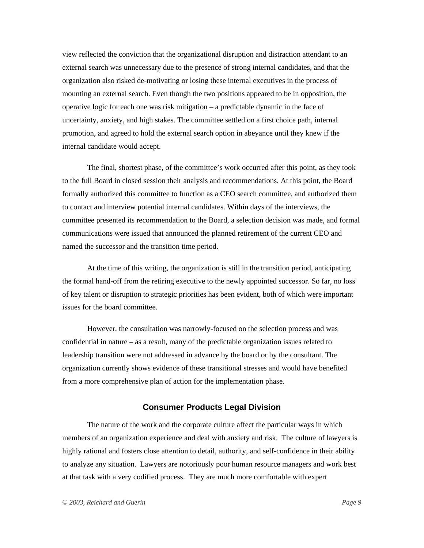view reflected the conviction that the organizational disruption and distraction attendant to an external search was unnecessary due to the presence of strong internal candidates, and that the organization also risked de-motivating or losing these internal executives in the process of mounting an external search. Even though the two positions appeared to be in opposition, the operative logic for each one was risk mitigation – a predictable dynamic in the face of uncertainty, anxiety, and high stakes. The committee settled on a first choice path, internal promotion, and agreed to hold the external search option in abeyance until they knew if the internal candidate would accept.

The final, shortest phase, of the committee's work occurred after this point, as they took to the full Board in closed session their analysis and recommendations. At this point, the Board formally authorized this committee to function as a CEO search committee, and authorized them to contact and interview potential internal candidates. Within days of the interviews, the committee presented its recommendation to the Board, a selection decision was made, and formal communications were issued that announced the planned retirement of the current CEO and named the successor and the transition time period.

At the time of this writing, the organization is still in the transition period, anticipating the formal hand-off from the retiring executive to the newly appointed successor. So far, no loss of key talent or disruption to strategic priorities has been evident, both of which were important issues for the board committee.

However, the consultation was narrowly-focused on the selection process and was confidential in nature – as a result, many of the predictable organization issues related to leadership transition were not addressed in advance by the board or by the consultant. The organization currently shows evidence of these transitional stresses and would have benefited from a more comprehensive plan of action for the implementation phase.

# **Consumer Products Legal Division**

The nature of the work and the corporate culture affect the particular ways in which members of an organization experience and deal with anxiety and risk. The culture of lawyers is highly rational and fosters close attention to detail, authority, and self-confidence in their ability to analyze any situation. Lawyers are notoriously poor human resource managers and work best at that task with a very codified process. They are much more comfortable with expert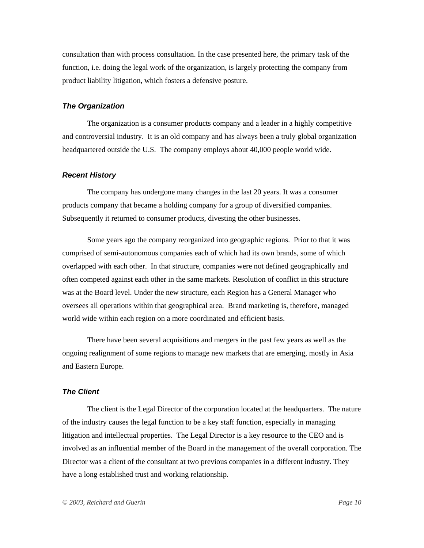consultation than with process consultation. In the case presented here, the primary task of the function, i.e. doing the legal work of the organization, is largely protecting the company from product liability litigation, which fosters a defensive posture.

### *The Organization*

The organization is a consumer products company and a leader in a highly competitive and controversial industry. It is an old company and has always been a truly global organization headquartered outside the U.S. The company employs about 40,000 people world wide.

#### *Recent History*

The company has undergone many changes in the last 20 years. It was a consumer products company that became a holding company for a group of diversified companies. Subsequently it returned to consumer products, divesting the other businesses.

Some years ago the company reorganized into geographic regions. Prior to that it was comprised of semi-autonomous companies each of which had its own brands, some of which overlapped with each other. In that structure, companies were not defined geographically and often competed against each other in the same markets. Resolution of conflict in this structure was at the Board level. Under the new structure, each Region has a General Manager who oversees all operations within that geographical area. Brand marketing is, therefore, managed world wide within each region on a more coordinated and efficient basis.

There have been several acquisitions and mergers in the past few years as well as the ongoing realignment of some regions to manage new markets that are emerging, mostly in Asia and Eastern Europe.

#### *The Client*

The client is the Legal Director of the corporation located at the headquarters. The nature of the industry causes the legal function to be a key staff function, especially in managing litigation and intellectual properties. The Legal Director is a key resource to the CEO and is involved as an influential member of the Board in the management of the overall corporation. The Director was a client of the consultant at two previous companies in a different industry. They have a long established trust and working relationship.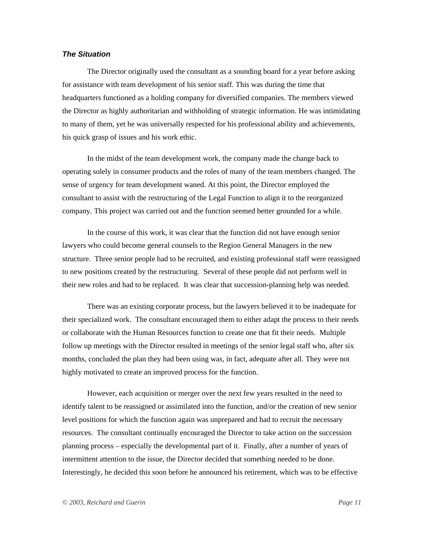# *The Situation*

The Director originally used the consultant as a sounding board for a year before asking for assistance with team development of his senior staff. This was during the time that headquarters functioned as a holding company for diversified companies. The members viewed the Director as highly authoritarian and withholding of strategic information. He was intimidating to many of them, yet he was universally respected for his professional ability and achievements, his quick grasp of issues and his work ethic.

In the midst of the team development work, the company made the change back to operating solely in consumer products and the roles of many of the team members changed. The sense of urgency for team development waned. At this point, the Director employed the consultant to assist with the restructuring of the Legal Function to align it to the reorganized company. This project was carried out and the function seemed better grounded for a while.

In the course of this work, it was clear that the function did not have enough senior lawyers who could become general counsels to the Region General Managers in the new structure. Three senior people had to be recruited, and existing professional staff were reassigned to new positions created by the restructuring. Several of these people did not perform well in their new roles and had to be replaced. It was clear that succession-planning help was needed.

There was an existing corporate process, but the lawyers believed it to be inadequate for their specialized work. The consultant encouraged them to either adapt the process to their needs or collaborate with the Human Resources function to create one that fit their needs. Multiple follow up meetings with the Director resulted in meetings of the senior legal staff who, after six months, concluded the plan they had been using was, in fact, adequate after all. They were not highly motivated to create an improved process for the function.

However, each acquisition or merger over the next few years resulted in the need to identify talent to be reassigned or assimilated into the function, and/or the creation of new senior level positions for which the function again was unprepared and had to recruit the necessary resources. The consultant continually encouraged the Director to take action on the succession planning process – especially the developmental part of it. Finally, after a number of years of intermittent attention to the issue, the Director decided that something needed to be done. Interestingly, he decided this soon before he announced his retirement, which was to be effective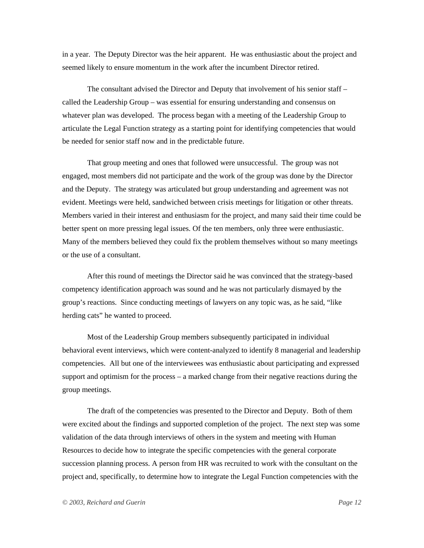in a year. The Deputy Director was the heir apparent. He was enthusiastic about the project and seemed likely to ensure momentum in the work after the incumbent Director retired.

The consultant advised the Director and Deputy that involvement of his senior staff – called the Leadership Group – was essential for ensuring understanding and consensus on whatever plan was developed. The process began with a meeting of the Leadership Group to articulate the Legal Function strategy as a starting point for identifying competencies that would be needed for senior staff now and in the predictable future.

That group meeting and ones that followed were unsuccessful. The group was not engaged, most members did not participate and the work of the group was done by the Director and the Deputy. The strategy was articulated but group understanding and agreement was not evident. Meetings were held, sandwiched between crisis meetings for litigation or other threats. Members varied in their interest and enthusiasm for the project, and many said their time could be better spent on more pressing legal issues. Of the ten members, only three were enthusiastic. Many of the members believed they could fix the problem themselves without so many meetings or the use of a consultant.

After this round of meetings the Director said he was convinced that the strategy-based competency identification approach was sound and he was not particularly dismayed by the group's reactions. Since conducting meetings of lawyers on any topic was, as he said, "like herding cats" he wanted to proceed.

Most of the Leadership Group members subsequently participated in individual behavioral event interviews, which were content-analyzed to identify 8 managerial and leadership competencies. All but one of the interviewees was enthusiastic about participating and expressed support and optimism for the process – a marked change from their negative reactions during the group meetings.

The draft of the competencies was presented to the Director and Deputy. Both of them were excited about the findings and supported completion of the project. The next step was some validation of the data through interviews of others in the system and meeting with Human Resources to decide how to integrate the specific competencies with the general corporate succession planning process. A person from HR was recruited to work with the consultant on the project and, specifically, to determine how to integrate the Legal Function competencies with the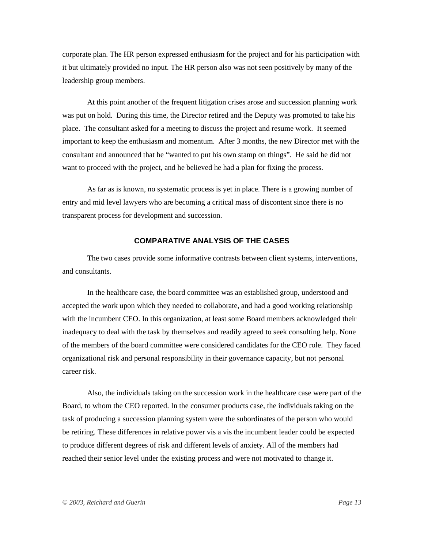corporate plan. The HR person expressed enthusiasm for the project and for his participation with it but ultimately provided no input. The HR person also was not seen positively by many of the leadership group members.

At this point another of the frequent litigation crises arose and succession planning work was put on hold. During this time, the Director retired and the Deputy was promoted to take his place. The consultant asked for a meeting to discuss the project and resume work. It seemed important to keep the enthusiasm and momentum. After 3 months, the new Director met with the consultant and announced that he "wanted to put his own stamp on things". He said he did not want to proceed with the project, and he believed he had a plan for fixing the process.

As far as is known, no systematic process is yet in place. There is a growing number of entry and mid level lawyers who are becoming a critical mass of discontent since there is no transparent process for development and succession.

# **COMPARATIVE ANALYSIS OF THE CASES**

The two cases provide some informative contrasts between client systems, interventions, and consultants.

In the healthcare case, the board committee was an established group, understood and accepted the work upon which they needed to collaborate, and had a good working relationship with the incumbent CEO. In this organization, at least some Board members acknowledged their inadequacy to deal with the task by themselves and readily agreed to seek consulting help. None of the members of the board committee were considered candidates for the CEO role. They faced organizational risk and personal responsibility in their governance capacity, but not personal career risk.

Also, the individuals taking on the succession work in the healthcare case were part of the Board, to whom the CEO reported. In the consumer products case, the individuals taking on the task of producing a succession planning system were the subordinates of the person who would be retiring. These differences in relative power vis a vis the incumbent leader could be expected to produce different degrees of risk and different levels of anxiety. All of the members had reached their senior level under the existing process and were not motivated to change it.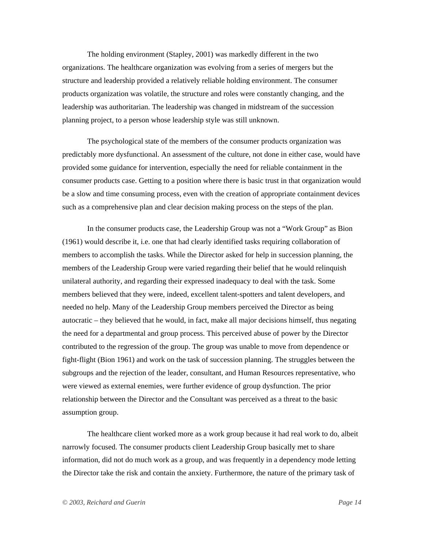The holding environment (Stapley, 2001) was markedly different in the two organizations. The healthcare organization was evolving from a series of mergers but the structure and leadership provided a relatively reliable holding environment. The consumer products organization was volatile, the structure and roles were constantly changing, and the leadership was authoritarian. The leadership was changed in midstream of the succession planning project, to a person whose leadership style was still unknown.

The psychological state of the members of the consumer products organization was predictably more dysfunctional. An assessment of the culture, not done in either case, would have provided some guidance for intervention, especially the need for reliable containment in the consumer products case. Getting to a position where there is basic trust in that organization would be a slow and time consuming process, even with the creation of appropriate containment devices such as a comprehensive plan and clear decision making process on the steps of the plan.

In the consumer products case, the Leadership Group was not a "Work Group" as Bion (1961) would describe it, i.e. one that had clearly identified tasks requiring collaboration of members to accomplish the tasks. While the Director asked for help in succession planning, the members of the Leadership Group were varied regarding their belief that he would relinquish unilateral authority, and regarding their expressed inadequacy to deal with the task. Some members believed that they were, indeed, excellent talent-spotters and talent developers, and needed no help. Many of the Leadership Group members perceived the Director as being autocratic – they believed that he would, in fact, make all major decisions himself, thus negating the need for a departmental and group process. This perceived abuse of power by the Director contributed to the regression of the group. The group was unable to move from dependence or fight-flight (Bion 1961) and work on the task of succession planning. The struggles between the subgroups and the rejection of the leader, consultant, and Human Resources representative, who were viewed as external enemies, were further evidence of group dysfunction. The prior relationship between the Director and the Consultant was perceived as a threat to the basic assumption group.

The healthcare client worked more as a work group because it had real work to do, albeit narrowly focused. The consumer products client Leadership Group basically met to share information, did not do much work as a group, and was frequently in a dependency mode letting the Director take the risk and contain the anxiety. Furthermore, the nature of the primary task of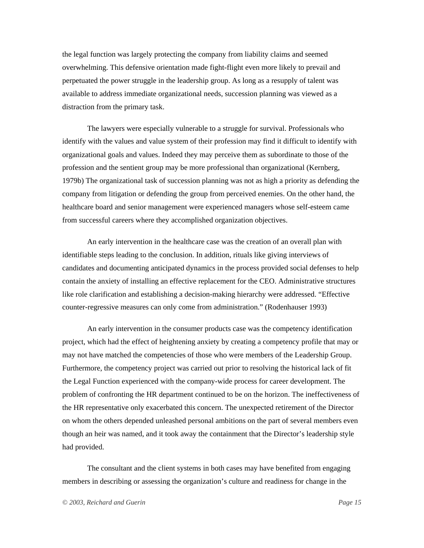the legal function was largely protecting the company from liability claims and seemed overwhelming. This defensive orientation made fight-flight even more likely to prevail and perpetuated the power struggle in the leadership group. As long as a resupply of talent was available to address immediate organizational needs, succession planning was viewed as a distraction from the primary task.

The lawyers were especially vulnerable to a struggle for survival. Professionals who identify with the values and value system of their profession may find it difficult to identify with organizational goals and values. Indeed they may perceive them as subordinate to those of the profession and the sentient group may be more professional than organizational (Kernberg, 1979b) The organizational task of succession planning was not as high a priority as defending the company from litigation or defending the group from perceived enemies. On the other hand, the healthcare board and senior management were experienced managers whose self-esteem came from successful careers where they accomplished organization objectives.

An early intervention in the healthcare case was the creation of an overall plan with identifiable steps leading to the conclusion. In addition, rituals like giving interviews of candidates and documenting anticipated dynamics in the process provided social defenses to help contain the anxiety of installing an effective replacement for the CEO. Administrative structures like role clarification and establishing a decision-making hierarchy were addressed. "Effective counter-regressive measures can only come from administration." (Rodenhauser 1993)

An early intervention in the consumer products case was the competency identification project, which had the effect of heightening anxiety by creating a competency profile that may or may not have matched the competencies of those who were members of the Leadership Group. Furthermore, the competency project was carried out prior to resolving the historical lack of fit the Legal Function experienced with the company-wide process for career development. The problem of confronting the HR department continued to be on the horizon. The ineffectiveness of the HR representative only exacerbated this concern. The unexpected retirement of the Director on whom the others depended unleashed personal ambitions on the part of several members even though an heir was named, and it took away the containment that the Director's leadership style had provided.

The consultant and the client systems in both cases may have benefited from engaging members in describing or assessing the organization's culture and readiness for change in the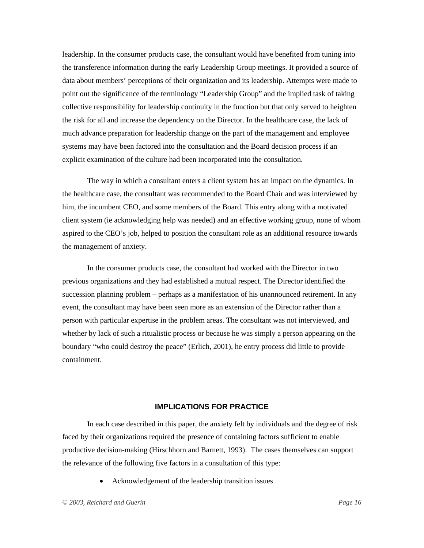leadership. In the consumer products case, the consultant would have benefited from tuning into the transference information during the early Leadership Group meetings. It provided a source of data about members' perceptions of their organization and its leadership. Attempts were made to point out the significance of the terminology "Leadership Group" and the implied task of taking collective responsibility for leadership continuity in the function but that only served to heighten the risk for all and increase the dependency on the Director. In the healthcare case, the lack of much advance preparation for leadership change on the part of the management and employee systems may have been factored into the consultation and the Board decision process if an explicit examination of the culture had been incorporated into the consultation.

The way in which a consultant enters a client system has an impact on the dynamics. In the healthcare case, the consultant was recommended to the Board Chair and was interviewed by him, the incumbent CEO, and some members of the Board. This entry along with a motivated client system (ie acknowledging help was needed) and an effective working group, none of whom aspired to the CEO's job, helped to position the consultant role as an additional resource towards the management of anxiety.

In the consumer products case, the consultant had worked with the Director in two previous organizations and they had established a mutual respect. The Director identified the succession planning problem – perhaps as a manifestation of his unannounced retirement. In any event, the consultant may have been seen more as an extension of the Director rather than a person with particular expertise in the problem areas. The consultant was not interviewed, and whether by lack of such a ritualistic process or because he was simply a person appearing on the boundary "who could destroy the peace" (Erlich, 2001), he entry process did little to provide containment.

# **IMPLICATIONS FOR PRACTICE**

In each case described in this paper, the anxiety felt by individuals and the degree of risk faced by their organizations required the presence of containing factors sufficient to enable productive decision-making (Hirschhorn and Barnett, 1993). The cases themselves can support the relevance of the following five factors in a consultation of this type:

• Acknowledgement of the leadership transition issues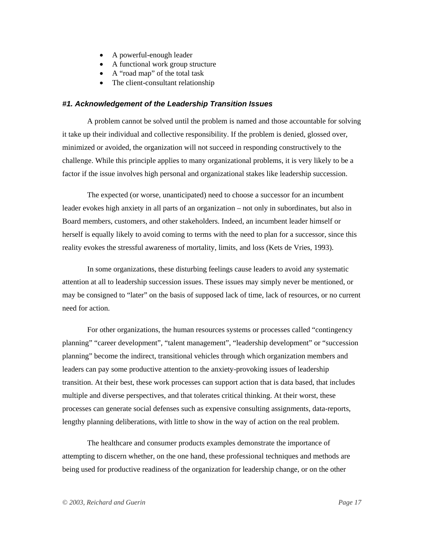- A powerful-enough leader
- A functional work group structure
- A "road map" of the total task
- The client-consultant relationship

### *#1. Acknowledgement of the Leadership Transition Issues*

A problem cannot be solved until the problem is named and those accountable for solving it take up their individual and collective responsibility. If the problem is denied, glossed over, minimized or avoided, the organization will not succeed in responding constructively to the challenge. While this principle applies to many organizational problems, it is very likely to be a factor if the issue involves high personal and organizational stakes like leadership succession.

The expected (or worse, unanticipated) need to choose a successor for an incumbent leader evokes high anxiety in all parts of an organization – not only in subordinates, but also in Board members, customers, and other stakeholders. Indeed, an incumbent leader himself or herself is equally likely to avoid coming to terms with the need to plan for a successor, since this reality evokes the stressful awareness of mortality, limits, and loss (Kets de Vries, 1993).

In some organizations, these disturbing feelings cause leaders to avoid any systematic attention at all to leadership succession issues. These issues may simply never be mentioned, or may be consigned to "later" on the basis of supposed lack of time, lack of resources, or no current need for action.

For other organizations, the human resources systems or processes called "contingency planning" "career development", "talent management", "leadership development" or "succession planning" become the indirect, transitional vehicles through which organization members and leaders can pay some productive attention to the anxiety-provoking issues of leadership transition. At their best, these work processes can support action that is data based, that includes multiple and diverse perspectives, and that tolerates critical thinking. At their worst, these processes can generate social defenses such as expensive consulting assignments, data-reports, lengthy planning deliberations, with little to show in the way of action on the real problem.

The healthcare and consumer products examples demonstrate the importance of attempting to discern whether, on the one hand, these professional techniques and methods are being used for productive readiness of the organization for leadership change, or on the other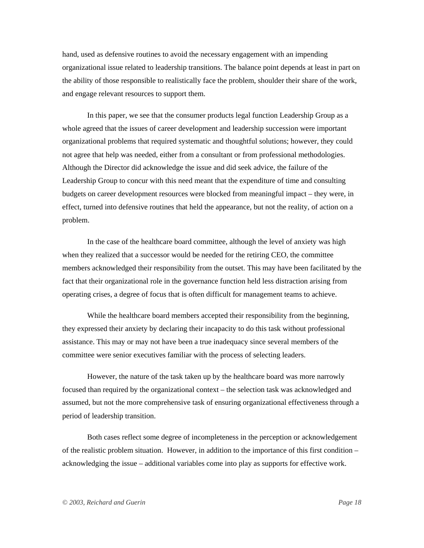hand, used as defensive routines to avoid the necessary engagement with an impending organizational issue related to leadership transitions. The balance point depends at least in part on the ability of those responsible to realistically face the problem, shoulder their share of the work, and engage relevant resources to support them.

In this paper, we see that the consumer products legal function Leadership Group as a whole agreed that the issues of career development and leadership succession were important organizational problems that required systematic and thoughtful solutions; however, they could not agree that help was needed, either from a consultant or from professional methodologies. Although the Director did acknowledge the issue and did seek advice, the failure of the Leadership Group to concur with this need meant that the expenditure of time and consulting budgets on career development resources were blocked from meaningful impact – they were, in effect, turned into defensive routines that held the appearance, but not the reality, of action on a problem.

In the case of the healthcare board committee, although the level of anxiety was high when they realized that a successor would be needed for the retiring CEO, the committee members acknowledged their responsibility from the outset. This may have been facilitated by the fact that their organizational role in the governance function held less distraction arising from operating crises, a degree of focus that is often difficult for management teams to achieve.

While the healthcare board members accepted their responsibility from the beginning, they expressed their anxiety by declaring their incapacity to do this task without professional assistance. This may or may not have been a true inadequacy since several members of the committee were senior executives familiar with the process of selecting leaders.

However, the nature of the task taken up by the healthcare board was more narrowly focused than required by the organizational context – the selection task was acknowledged and assumed, but not the more comprehensive task of ensuring organizational effectiveness through a period of leadership transition.

Both cases reflect some degree of incompleteness in the perception or acknowledgement of the realistic problem situation. However, in addition to the importance of this first condition – acknowledging the issue – additional variables come into play as supports for effective work.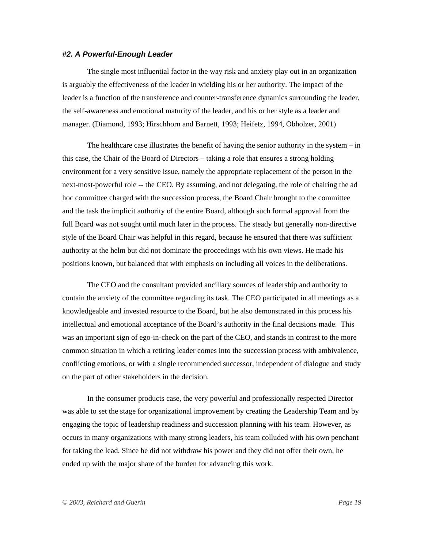#### *#2. A Powerful-Enough Leader*

The single most influential factor in the way risk and anxiety play out in an organization is arguably the effectiveness of the leader in wielding his or her authority. The impact of the leader is a function of the transference and counter-transference dynamics surrounding the leader, the self-awareness and emotional maturity of the leader, and his or her style as a leader and manager. (Diamond, 1993; Hirschhorn and Barnett, 1993; Heifetz, 1994, Obholzer, 2001)

The healthcare case illustrates the benefit of having the senior authority in the system – in this case, the Chair of the Board of Directors – taking a role that ensures a strong holding environment for a very sensitive issue, namely the appropriate replacement of the person in the next-most-powerful role -- the CEO. By assuming, and not delegating, the role of chairing the ad hoc committee charged with the succession process, the Board Chair brought to the committee and the task the implicit authority of the entire Board, although such formal approval from the full Board was not sought until much later in the process. The steady but generally non-directive style of the Board Chair was helpful in this regard, because he ensured that there was sufficient authority at the helm but did not dominate the proceedings with his own views. He made his positions known, but balanced that with emphasis on including all voices in the deliberations.

The CEO and the consultant provided ancillary sources of leadership and authority to contain the anxiety of the committee regarding its task. The CEO participated in all meetings as a knowledgeable and invested resource to the Board, but he also demonstrated in this process his intellectual and emotional acceptance of the Board's authority in the final decisions made. This was an important sign of ego-in-check on the part of the CEO, and stands in contrast to the more common situation in which a retiring leader comes into the succession process with ambivalence, conflicting emotions, or with a single recommended successor, independent of dialogue and study on the part of other stakeholders in the decision.

In the consumer products case, the very powerful and professionally respected Director was able to set the stage for organizational improvement by creating the Leadership Team and by engaging the topic of leadership readiness and succession planning with his team. However, as occurs in many organizations with many strong leaders, his team colluded with his own penchant for taking the lead. Since he did not withdraw his power and they did not offer their own, he ended up with the major share of the burden for advancing this work.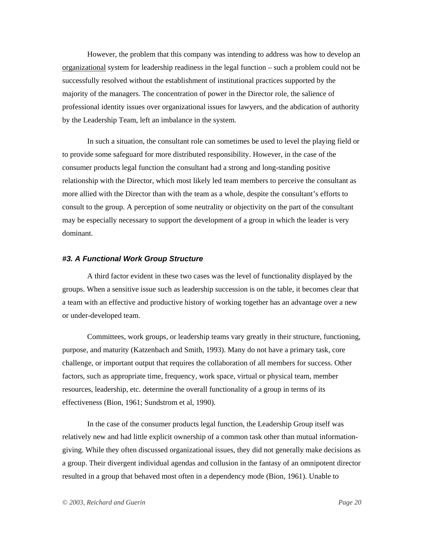However, the problem that this company was intending to address was how to develop an organizational system for leadership readiness in the legal function – such a problem could not be successfully resolved without the establishment of institutional practices supported by the majority of the managers. The concentration of power in the Director role, the salience of professional identity issues over organizational issues for lawyers, and the abdication of authority by the Leadership Team, left an imbalance in the system.

In such a situation, the consultant role can sometimes be used to level the playing field or to provide some safeguard for more distributed responsibility. However, in the case of the consumer products legal function the consultant had a strong and long-standing positive relationship with the Director, which most likely led team members to perceive the consultant as more allied with the Director than with the team as a whole, despite the consultant's efforts to consult to the group. A perception of some neutrality or objectivity on the part of the consultant may be especially necessary to support the development of a group in which the leader is very dominant.

# *#3. A Functional Work Group Structure*

A third factor evident in these two cases was the level of functionality displayed by the groups. When a sensitive issue such as leadership succession is on the table, it becomes clear that a team with an effective and productive history of working together has an advantage over a new or under-developed team.

Committees, work groups, or leadership teams vary greatly in their structure, functioning, purpose, and maturity (Katzenbach and Smith, 1993). Many do not have a primary task, core challenge, or important output that requires the collaboration of all members for success. Other factors, such as appropriate time, frequency, work space, virtual or physical team, member resources, leadership, etc. determine the overall functionality of a group in terms of its effectiveness (Bion, 1961; Sundstrom et al, 1990).

In the case of the consumer products legal function, the Leadership Group itself was relatively new and had little explicit ownership of a common task other than mutual informationgiving. While they often discussed organizational issues, they did not generally make decisions as a group. Their divergent individual agendas and collusion in the fantasy of an omnipotent director resulted in a group that behaved most often in a dependency mode (Bion, 1961). Unable to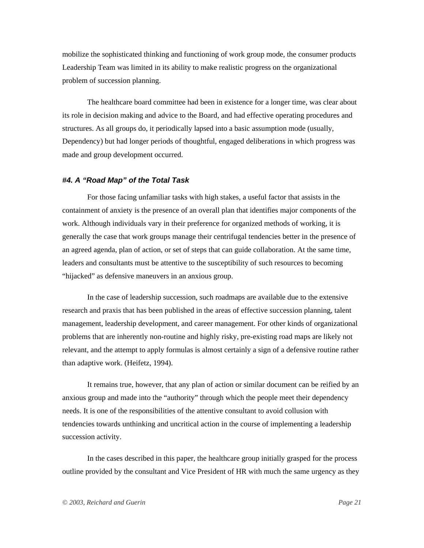mobilize the sophisticated thinking and functioning of work group mode, the consumer products Leadership Team was limited in its ability to make realistic progress on the organizational problem of succession planning.

The healthcare board committee had been in existence for a longer time, was clear about its role in decision making and advice to the Board, and had effective operating procedures and structures. As all groups do, it periodically lapsed into a basic assumption mode (usually, Dependency) but had longer periods of thoughtful, engaged deliberations in which progress was made and group development occurred.

# *#4. A "Road Map" of the Total Task*

For those facing unfamiliar tasks with high stakes, a useful factor that assists in the containment of anxiety is the presence of an overall plan that identifies major components of the work. Although individuals vary in their preference for organized methods of working, it is generally the case that work groups manage their centrifugal tendencies better in the presence of an agreed agenda, plan of action, or set of steps that can guide collaboration. At the same time, leaders and consultants must be attentive to the susceptibility of such resources to becoming "hijacked" as defensive maneuvers in an anxious group.

In the case of leadership succession, such roadmaps are available due to the extensive research and praxis that has been published in the areas of effective succession planning, talent management, leadership development, and career management. For other kinds of organizational problems that are inherently non-routine and highly risky, pre-existing road maps are likely not relevant, and the attempt to apply formulas is almost certainly a sign of a defensive routine rather than adaptive work. (Heifetz, 1994).

It remains true, however, that any plan of action or similar document can be reified by an anxious group and made into the "authority" through which the people meet their dependency needs. It is one of the responsibilities of the attentive consultant to avoid collusion with tendencies towards unthinking and uncritical action in the course of implementing a leadership succession activity.

In the cases described in this paper, the healthcare group initially grasped for the process outline provided by the consultant and Vice President of HR with much the same urgency as they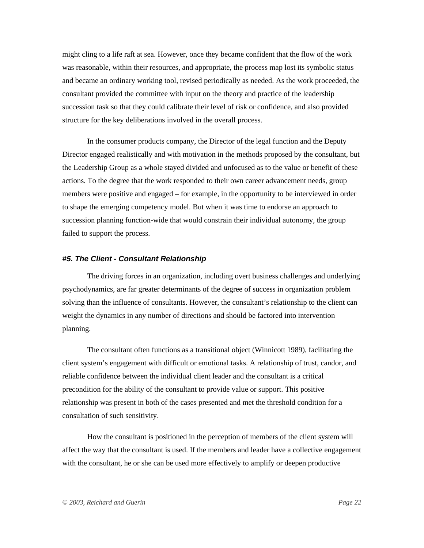might cling to a life raft at sea. However, once they became confident that the flow of the work was reasonable, within their resources, and appropriate, the process map lost its symbolic status and became an ordinary working tool, revised periodically as needed. As the work proceeded, the consultant provided the committee with input on the theory and practice of the leadership succession task so that they could calibrate their level of risk or confidence, and also provided structure for the key deliberations involved in the overall process.

In the consumer products company, the Director of the legal function and the Deputy Director engaged realistically and with motivation in the methods proposed by the consultant, but the Leadership Group as a whole stayed divided and unfocused as to the value or benefit of these actions. To the degree that the work responded to their own career advancement needs, group members were positive and engaged – for example, in the opportunity to be interviewed in order to shape the emerging competency model. But when it was time to endorse an approach to succession planning function-wide that would constrain their individual autonomy, the group failed to support the process.

### *#5. The Client - Consultant Relationship*

The driving forces in an organization, including overt business challenges and underlying psychodynamics, are far greater determinants of the degree of success in organization problem solving than the influence of consultants. However, the consultant's relationship to the client can weight the dynamics in any number of directions and should be factored into intervention planning.

The consultant often functions as a transitional object (Winnicott 1989), facilitating the client system's engagement with difficult or emotional tasks. A relationship of trust, candor, and reliable confidence between the individual client leader and the consultant is a critical precondition for the ability of the consultant to provide value or support. This positive relationship was present in both of the cases presented and met the threshold condition for a consultation of such sensitivity.

How the consultant is positioned in the perception of members of the client system will affect the way that the consultant is used. If the members and leader have a collective engagement with the consultant, he or she can be used more effectively to amplify or deepen productive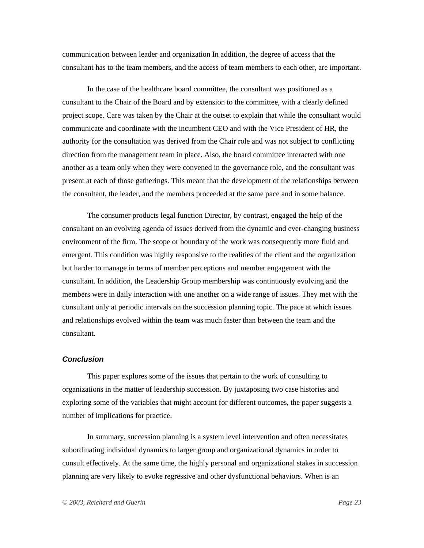communication between leader and organization In addition, the degree of access that the consultant has to the team members, and the access of team members to each other, are important.

In the case of the healthcare board committee, the consultant was positioned as a consultant to the Chair of the Board and by extension to the committee, with a clearly defined project scope. Care was taken by the Chair at the outset to explain that while the consultant would communicate and coordinate with the incumbent CEO and with the Vice President of HR, the authority for the consultation was derived from the Chair role and was not subject to conflicting direction from the management team in place. Also, the board committee interacted with one another as a team only when they were convened in the governance role, and the consultant was present at each of those gatherings. This meant that the development of the relationships between the consultant, the leader, and the members proceeded at the same pace and in some balance.

The consumer products legal function Director, by contrast, engaged the help of the consultant on an evolving agenda of issues derived from the dynamic and ever-changing business environment of the firm. The scope or boundary of the work was consequently more fluid and emergent. This condition was highly responsive to the realities of the client and the organization but harder to manage in terms of member perceptions and member engagement with the consultant. In addition, the Leadership Group membership was continuously evolving and the members were in daily interaction with one another on a wide range of issues. They met with the consultant only at periodic intervals on the succession planning topic. The pace at which issues and relationships evolved within the team was much faster than between the team and the consultant.

### *Conclusion*

This paper explores some of the issues that pertain to the work of consulting to organizations in the matter of leadership succession. By juxtaposing two case histories and exploring some of the variables that might account for different outcomes, the paper suggests a number of implications for practice.

In summary, succession planning is a system level intervention and often necessitates subordinating individual dynamics to larger group and organizational dynamics in order to consult effectively. At the same time, the highly personal and organizational stakes in succession planning are very likely to evoke regressive and other dysfunctional behaviors. When is an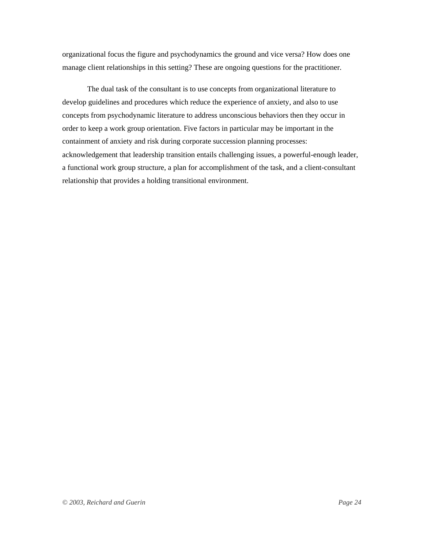organizational focus the figure and psychodynamics the ground and vice versa? How does one manage client relationships in this setting? These are ongoing questions for the practitioner.

The dual task of the consultant is to use concepts from organizational literature to develop guidelines and procedures which reduce the experience of anxiety, and also to use concepts from psychodynamic literature to address unconscious behaviors then they occur in order to keep a work group orientation. Five factors in particular may be important in the containment of anxiety and risk during corporate succession planning processes: acknowledgement that leadership transition entails challenging issues, a powerful-enough leader, a functional work group structure, a plan for accomplishment of the task, and a client-consultant relationship that provides a holding transitional environment.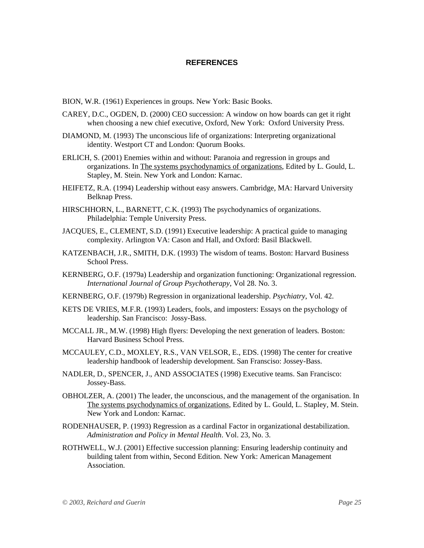# **REFERENCES**

- BION, W.R. (1961) Experiences in groups. New York: Basic Books.
- CAREY, D.C., OGDEN, D. (2000) CEO succession: A window on how boards can get it right when choosing a new chief executive, Oxford, New York: Oxford University Press.
- DIAMOND, M. (1993) The unconscious life of organizations: Interpreting organizational identity. Westport CT and London: Quorum Books.
- ERLICH, S. (2001) Enemies within and without: Paranoia and regression in groups and organizations. In The systems psychodynamics of organizations, Edited by L. Gould, L. Stapley, M. Stein. New York and London: Karnac.
- HEIFETZ, R.A. (1994) Leadership without easy answers. Cambridge, MA: Harvard University Belknap Press.
- HIRSCHHORN, L., BARNETT, C.K. (1993) The psychodynamics of organizations. Philadelphia: Temple University Press.
- JACQUES, E., CLEMENT, S.D. (1991) Executive leadership: A practical guide to managing complexity. Arlington VA: Cason and Hall, and Oxford: Basil Blackwell.
- KATZENBACH, J.R., SMITH, D.K. (1993) The wisdom of teams. Boston: Harvard Business School Press.
- KERNBERG, O.F. (1979a) Leadership and organization functioning: Organizational regression. *International Journal of Group Psychotherapy*, Vol 28. No. 3.
- KERNBERG, O.F. (1979b) Regression in organizational leadership. *Psychiatry*, Vol. 42.
- KETS DE VRIES, M.F.R. (1993) Leaders, fools, and imposters: Essays on the psychology of leadership. San Francisco: Jossy-Bass.
- MCCALL JR., M.W. (1998) High flyers: Developing the next generation of leaders*.* Boston: Harvard Business School Press.
- MCCAULEY, C.D., MOXLEY, R.S., VAN VELSOR, E., EDS. (1998) The center for creative leadership handbook of leadership development. San Fransciso: Jossey-Bass.
- NADLER, D., SPENCER, J., AND ASSOCIATES (1998) Executive teams. San Francisco: Jossey-Bass.
- OBHOLZER, A. (2001) The leader, the unconscious, and the management of the organisation. In The systems psychodynamics of organizations, Edited by L. Gould, L. Stapley, M. Stein. New York and London: Karnac.
- RODENHAUSER, P. (1993) Regression as a cardinal Factor in organizational destabilization. *Administration and Policy in Mental Health*. Vol. 23, No. 3.
- ROTHWELL, W.J. (2001) Effective succession planning: Ensuring leadership continuity and building talent from within, Second Edition. New York: American Management Association.